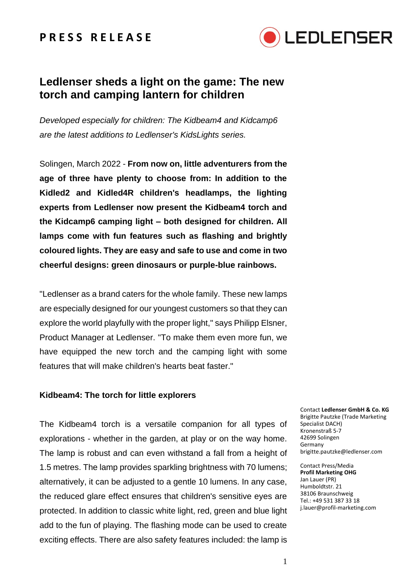### **P R E S S R E L E A S E**



## **Ledlenser sheds a light on the game: The new torch and camping lantern for children**

*Developed especially for children: The Kidbeam4 and Kidcamp6 are the latest additions to Ledlenser's KidsLights series.*

Solingen, March 2022 - **From now on, little adventurers from the age of three have plenty to choose from: In addition to the Kidled2 and Kidled4R children's headlamps, the lighting experts from Ledlenser now present the Kidbeam4 torch and the Kidcamp6 camping light – both designed for children. All lamps come with fun features such as flashing and brightly coloured lights. They are easy and safe to use and come in two cheerful designs: green dinosaurs or purple-blue rainbows.**

"Ledlenser as a brand caters for the whole family. These new lamps are especially designed for our youngest customers so that they can explore the world playfully with the proper light," says Philipp Elsner, Product Manager at Ledlenser. "To make them even more fun, we have equipped the new torch and the camping light with some features that will make children's hearts beat faster."

### **Kidbeam4: The torch for little explorers**

The Kidbeam4 torch is a versatile companion for all types of explorations - whether in the garden, at play or on the way home. The lamp is robust and can even withstand a fall from a height of 1.5 metres. The lamp provides sparkling brightness with 70 lumens; alternatively, it can be adjusted to a gentle 10 lumens. In any case, the reduced glare effect ensures that children's sensitive eyes are protected. In addition to classic white light, red, green and blue light add to the fun of playing. The flashing mode can be used to create exciting effects. There are also safety features included: the lamp is

Contact **Ledlenser GmbH & Co. KG** Brigitte Pautzke (Trade Marketing Specialist DACH) Kronenstraß 5-7 42699 Solingen Germany brigitte.pautzke@ledlenser.com

Contact Press/Media **Profil Marketing OHG** Jan Lauer (PR) Humboldtstr. 21 38106 Braunschweig Tel.: +49 531 387 33 18 j.lauer@profil-marketing.com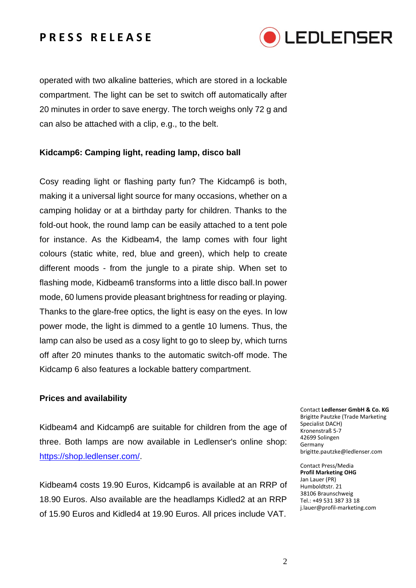### **P R E S S R E L E A S E**



operated with two alkaline batteries, which are stored in a lockable compartment. The light can be set to switch off automatically after 20 minutes in order to save energy. The torch weighs only 72 g and can also be attached with a clip, e.g., to the belt.

#### **Kidcamp6: Camping light, reading lamp, disco ball**

Cosy reading light or flashing party fun? The Kidcamp6 is both, making it a universal light source for many occasions, whether on a camping holiday or at a birthday party for children. Thanks to the fold-out hook, the round lamp can be easily attached to a tent pole for instance. As the Kidbeam4, the lamp comes with four light colours (static white, red, blue and green), which help to create different moods - from the jungle to a pirate ship. When set to flashing mode, Kidbeam6 transforms into a little disco ball.In power mode, 60 lumens provide pleasant brightness for reading or playing. Thanks to the glare-free optics, the light is easy on the eyes. In low power mode, the light is dimmed to a gentle 10 lumens. Thus, the lamp can also be used as a cosy light to go to sleep by, which turns off after 20 minutes thanks to the automatic switch-off mode. The Kidcamp 6 also features a lockable battery compartment.

#### **Prices and availability**

Kidbeam4 and Kidcamp6 are suitable for children from the age of three. Both lamps are now available in Ledlenser's online shop: [https://shop.ledlenser.com/.](https://shop.ledlenser.com/)

Kidbeam4 costs 19.90 Euros, Kidcamp6 is available at an RRP of 18.90 Euros. Also available are the headlamps Kidled2 at an RRP of 15.90 Euros and Kidled4 at 19.90 Euros. All prices include VAT.

Contact **Ledlenser GmbH & Co. KG** Brigitte Pautzke (Trade Marketing Specialist DACH) Kronenstraß 5-7 42699 Solingen Germany brigitte.pautzke@ledlenser.com

Contact Press/Media **Profil Marketing OHG** Jan Lauer (PR) Humboldtstr. 21 38106 Braunschweig Tel.: +49 531 387 33 18 j.lauer@profil-marketing.com